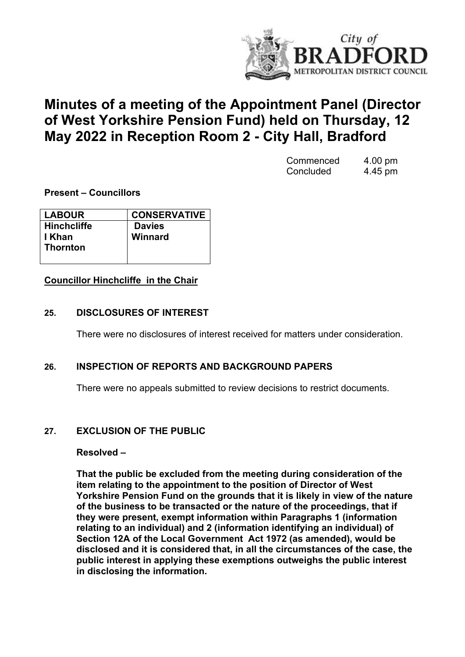

# **Minutes of a meeting of the Appointment Panel (Director of West Yorkshire Pension Fund) held on Thursday, 12 May 2022 in Reception Room 2 - City Hall, Bradford**

| Commenced | 4.00 pm |
|-----------|---------|
| Concluded | 4.45 pm |

**Present – Councillors**

| <b>LABOUR</b>      | <b>CONSERVATIVE</b> |
|--------------------|---------------------|
| <b>Hinchcliffe</b> | <b>Davies</b>       |
| I Khan             | Winnard             |
| <b>Thornton</b>    |                     |
|                    |                     |

## **Councillor Hinchcliffe in the Chair**

## **25. DISCLOSURES OF INTEREST**

There were no disclosures of interest received for matters under consideration.

## **26. INSPECTION OF REPORTS AND BACKGROUND PAPERS**

There were no appeals submitted to review decisions to restrict documents.

## **27. EXCLUSION OF THE PUBLIC**

#### **Resolved –**

**That the public be excluded from the meeting during consideration of the item relating to the appointment to the position of Director of West Yorkshire Pension Fund on the grounds that it is likely in view of the nature of the business to be transacted or the nature of the proceedings, that if they were present, exempt information within Paragraphs 1 (information relating to an individual) and 2 (information identifying an individual) of Section 12A of the Local Government Act 1972 (as amended), would be disclosed and it is considered that, in all the circumstances of the case, the public interest in applying these exemptions outweighs the public interest in disclosing the information.**